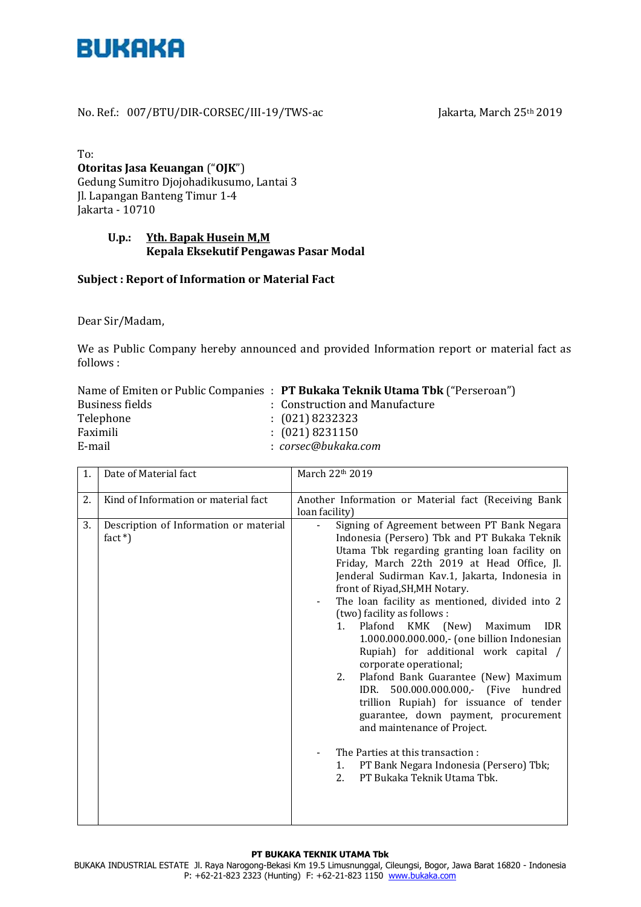

### No. Ref.: 007/BTU/DIR-CORSEC/III-19/TWS-ac Jakarta, March 25<sup>th</sup> 2019

To:

# **Otoritas Jasa Keuangan** ("**OJK**") Gedung Sumitro Djojohadikusumo, Lantai 3 Jl. Lapangan Banteng Timur 1-4 Jakarta - 10710

#### **U.p.: Yth. Bapak Husein M,M Kepala Eksekutif Pengawas Pasar Modal**

# **Subject : Report of Information or Material Fact**

Dear Sir/Madam,

We as Public Company hereby announced and provided Information report or material fact as follows :

|                 | Name of Emiten or Public Companies : PT Bukaka Teknik Utama Tbk ("Perseroan") |
|-----------------|-------------------------------------------------------------------------------|
| Business fields | : Construction and Manufacture                                                |
| Telephone       | $(021)$ 8232323                                                               |
| Faximili        | $(021)$ 8231150                                                               |
| E-mail          | : corsec@bukaka.com                                                           |

| 1. | Date of Material fact                               | March 22th 2019                                                                                                                                                                                                                                                                                                                                                                                                                                                                                                                                                                                                                                                                                                                                                                                                                                                          |
|----|-----------------------------------------------------|--------------------------------------------------------------------------------------------------------------------------------------------------------------------------------------------------------------------------------------------------------------------------------------------------------------------------------------------------------------------------------------------------------------------------------------------------------------------------------------------------------------------------------------------------------------------------------------------------------------------------------------------------------------------------------------------------------------------------------------------------------------------------------------------------------------------------------------------------------------------------|
| 2. | Kind of Information or material fact                | Another Information or Material fact (Receiving Bank<br>loan facility)                                                                                                                                                                                                                                                                                                                                                                                                                                                                                                                                                                                                                                                                                                                                                                                                   |
| 3. | Description of Information or material<br>fact $*)$ | Signing of Agreement between PT Bank Negara<br>Indonesia (Persero) Tbk and PT Bukaka Teknik<br>Utama Tbk regarding granting loan facility on<br>Friday, March 22th 2019 at Head Office, Jl.<br>Jenderal Sudirman Kav.1, Jakarta, Indonesia in<br>front of Riyad, SH, MH Notary.<br>The loan facility as mentioned, divided into 2<br>(two) facility as follows :<br>Plafond KMK (New)<br>Maximum<br><b>IDR</b><br>1.<br>1.000.000.000.000,- (one billion Indonesian<br>Rupiah) for additional work capital /<br>corporate operational;<br>Plafond Bank Guarantee (New) Maximum<br>2.<br>IDR. 500.000.000.000,- (Five hundred<br>trillion Rupiah) for issuance of tender<br>guarantee, down payment, procurement<br>and maintenance of Project.<br>The Parties at this transaction:<br>PT Bank Negara Indonesia (Persero) Tbk;<br>1.<br>PT Bukaka Teknik Utama Tbk.<br>2. |

#### **PT BUKAKA TEKNIK UTAMA Tbk**